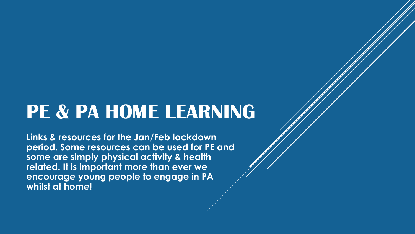## **PE & PA HOME LEARNING**

**Links & resources for the Jan/Feb lockdown period. Some resources can be used for PE and some are simply physical activity & health related. It is important more than ever we encourage young people to engage in PA whilst at home!**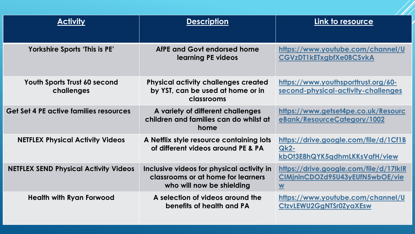| <b>Activity</b>                                   | <b>Description</b>                                                                                           | Link to resource                                                                                      |
|---------------------------------------------------|--------------------------------------------------------------------------------------------------------------|-------------------------------------------------------------------------------------------------------|
| Yorkshire Sports 'This is PE'                     | AfPE and Govt endorsed home<br>learning PE videos                                                            | https://www.youtube.com/channel/U<br><b>CGVzDT1kETxgbfXe0BCSvkA</b>                                   |
| <b>Youth Sports Trust 60 second</b><br>challenges | <b>Physical activity challenges created</b><br>by YST, can be used at home or in<br>classrooms               | https://www.youthsporttrust.org/60-<br>second-physical-activity-challenges                            |
| <b>Get Set 4 PE active families resources</b>     | A variety of different challenges<br>children and families can do whilst at<br>home                          | https://www.getset4pe.co.uk/Resourc<br>eBank/ResourceCategory/1002                                    |
| <b>NETFLEX Physical Activity Videos</b>           | A Netflix style resource containing lots<br>of different videos around PE & PA                               | https://drive.google.com/file/d/1Cf1B<br><b>Qk2-</b><br>kbOt3E8hQYK5qdhmLKKsVafH/view                 |
| <b>NETFLEX SEND Physical Activity Videos</b>      | Inclusive videos for physical activity in<br>classrooms or at home for learners<br>who will now be shielding | https://drive.google.com/file/d/17lklR<br>CIMjnInCDOZd95U43yEUfN5wbOE/vie<br>$\underline{\mathbf{W}}$ |
| <b>Health with Ryan Forwood</b>                   | A selection of videos around the<br>benefits of health and PA                                                | https://www.youtube.com/channel/U<br>CtzvLEWU2GgNTSr0ZyaXEsw                                          |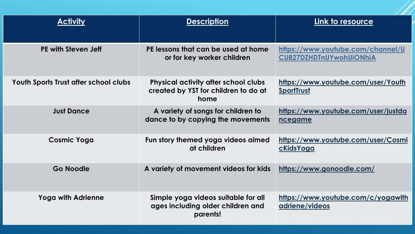| <b>Activity</b>                       | <b>Description</b>                                                                          | Link to resource                                                    |
|---------------------------------------|---------------------------------------------------------------------------------------------|---------------------------------------------------------------------|
| PE with Steven Jeff                   | PE lessons that can be used at home<br>or for key worker children                           | https://www.youtube.com/channel/U<br><b>CU827DZHDTnUYwohUiONhiA</b> |
| Youth Sports Trust after school clubs | <b>Physical activity after school clubs</b><br>created by YST for children to do at<br>home | https://www.youtube.com/user/Youth<br><b>SportTrust</b>             |
| <b>Just Dance</b>                     | A variety of songs for children to<br>dance to by copying the movements                     | https://www.youtube.com/user/justda<br>ncegame                      |
| <b>Cosmic Yoga</b>                    | Fun story themed yoga videos aimed<br>at children                                           | https://www.youtube.com/user/Cosmi<br><u>cKidsYoga</u>              |
| Go Noodle                             | A variety of movement videos for kids                                                       | https://www.gonoodle.com/                                           |
| <b>Yoga with Adrienne</b>             | Simple yoga videos suitable for all<br>ages including older children and<br>parents!        | https://www.youtube.com/c/yogawith<br>adriene/videos                |